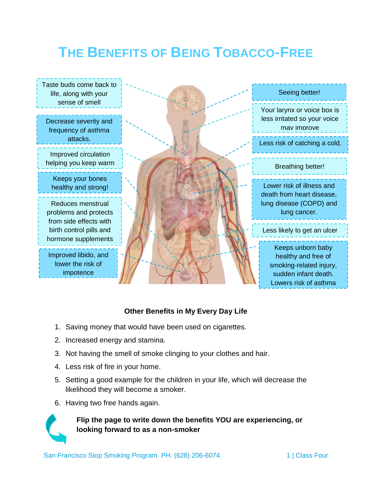# **THE BENEFITS OF BEING TOBACCO-FREE**



## **Other Benefits in My Every Day Life**

- 1. Saving money that would have been used on cigarettes.
- 2. Increased energy and stamina.
- 3. Not having the smell of smoke clinging to your clothes and hair.
- 4. Less risk of fire in your home.
- 5. Setting a good example for the children in your life, which will decrease the likelihood they will become a smoker.
- 6. Having two free hands again.



**Flip the page to write down the benefits YOU are experiencing, or looking forward to as a non-smoker**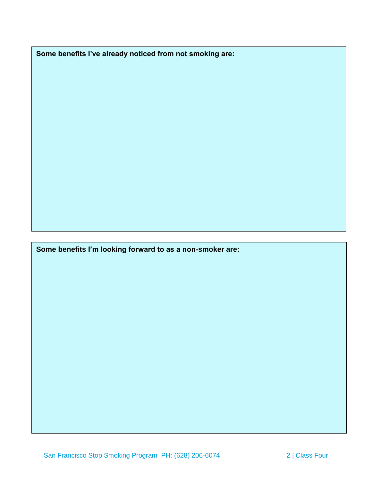**Some benefits I've already noticed from not smoking are:** 

**Some benefits I'm looking forward to as a non-smoker are:**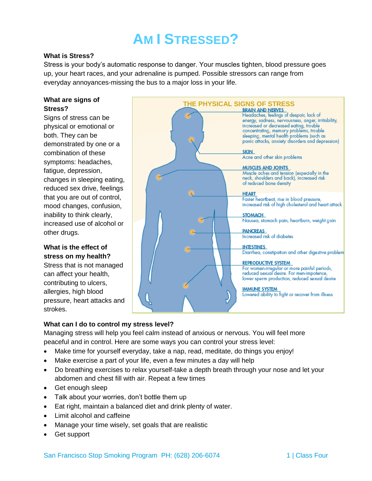# **AM I STRESSED?**

#### **What is Stress?**

Stress is your body's automatic response to danger. Your muscles tighten, blood pressure goes up, your heart races, and your adrenaline is pumped. Possible stressors can range from everyday annoyances-missing the bus to a major loss in your life.

### **What are signs of Stress?**

Signs of stress can be physical or emotional or both. They can be demonstrated by one or a combination of these symptoms: headaches, fatigue, depression, changes in sleeping eating, reduced sex drive, feelings that you are out of control, mood changes, confusion, inability to think clearly, increased use of alcohol or other drugs.

# **What is the effect of stress on my health?**

Stress that is not managed can affect your health, contributing to ulcers, allergies, high blood pressure, heart attacks and strokes.



## **What can I do to control my stress level?**

Managing stress will help you feel calm instead of anxious or nervous. You will feel more peaceful and in control. Here are some ways you can control your stress level:

- Make time for yourself everyday, take a nap, read, meditate, do things you enjoy!
- Make exercise a part of your life, even a few minutes a day will help
- Do breathing exercises to relax yourself-take a depth breath through your nose and let your abdomen and chest fill with air. Repeat a few times
- Get enough sleep
- Talk about your worries, don't bottle them up
- Eat right, maintain a balanced diet and drink plenty of water.
- Limit alcohol and caffeine
- Manage your time wisely, set goals that are realistic
- Get support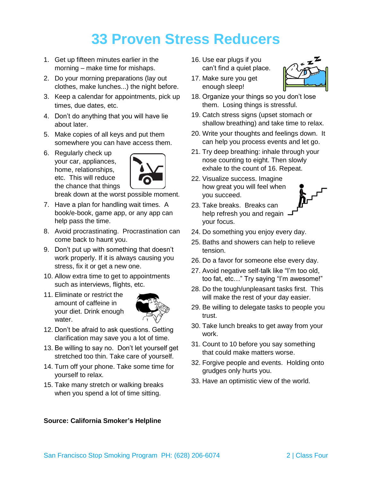# **33 Proven Stress Reducers**

- 1. Get up fifteen minutes earlier in the morning – make time for mishaps.
- 2. Do your morning preparations (lay out clothes, make lunches...) the night before.
- 3. Keep a calendar for appointments, pick up times, due dates, etc.
- 4. Don't do anything that you will have lie about later.
- 5. Make copies of all keys and put them somewhere you can have access them.
- 6. Regularly check up your car, appliances, home, relationships, etc. This will reduce the chance that things



break down at the worst possible moment.

- 7. Have a plan for handling wait times. A book/e-book, game app, or any app can help pass the time.
- 8. Avoid procrastinating. Procrastination can come back to haunt you.
- 9. Don't put up with something that doesn't work properly. If it is always causing you stress, fix it or get a new one.
- 10. Allow extra time to get to appointments such as interviews, flights, etc.
- 11. Eliminate or restrict the amount of caffeine in your diet. Drink enough water.



- 12. Don't be afraid to ask questions. Getting clarification may save you a lot of time.
- 13. Be willing to say no. Don't let yourself get stretched too thin. Take care of yourself.
- 14. Turn off your phone. Take some time for yourself to relax.
- 15. Take many stretch or walking breaks when you spend a lot of time sitting.
- 16. Use ear plugs if you can't find a quiet place.
- 17. Make sure you get enough sleep!



- 18. Organize your things so you don't lose them. Losing things is stressful.
- 19. Catch stress signs (upset stomach or shallow breathing) and take time to relax.
- 20. Write your thoughts and feelings down. It can help you process events and let go.
- 21. Try deep breathing: inhale through your nose counting to eight. Then slowly exhale to the count of 16. Repeat.
- 22. Visualize success. Imagine how great you will feel when you succeed.



- 23. Take breaks. Breaks can help refresh you and regain your focus.
- 24. Do something you enjoy every day.
- 25. Baths and showers can help to relieve tension.
- 26. Do a favor for someone else every day.
- 27. Avoid negative self-talk like "I'm too old, too fat, etc…" Try saying "I'm awesome!"
- 28. Do the tough/unpleasant tasks first. This will make the rest of your day easier.
- 29. Be willing to delegate tasks to people you trust.
- 30. Take lunch breaks to get away from your work.
- 31. Count to 10 before you say something that could make matters worse.
- 32. Forgive people and events. Holding onto grudges only hurts you.
- 33. Have an optimistic view of the world.

### **Source: California Smoker's Helpline**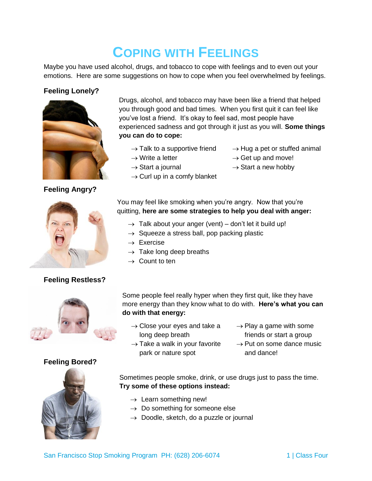# **COPING WITH FEELINGS**

Maybe you have used alcohol, drugs, and tobacco to cope with feelings and to even out your emotions. Here are some suggestions on how to cope when you feel overwhelmed by feelings.

# **Feeling Lonely?**



**Feeling Angry?**



# **Feeling Restless?**



# **Feeling Bored?**



Drugs, alcohol, and tobacco may have been like a friend that helped you through good and bad times. When you first quit it can feel like you've lost a friend. It's okay to feel sad, most people have experienced sadness and got through it just as you will. **Some things you can do to cope:**

 $\rightarrow$  Talk to a supportive friend

 $\rightarrow$  Curl up in a comfy blanket

- $\rightarrow$  Hug a pet or stuffed animal
- $\rightarrow$  Write a letter  $\rightarrow$  Start a journal
- $\rightarrow$  Get up and move!
	- $\rightarrow$  Start a new hobby

You may feel like smoking when you're angry. Now that you're quitting, **here are some strategies to help you deal with anger:**

- $\rightarrow$  Talk about your anger (vent) don't let it build up!
- $\rightarrow$  Squeeze a stress ball, pop packing plastic
- $\rightarrow$  Exercise
- $\rightarrow$  Take long deep breaths
- $\rightarrow$  Count to ten

Some people feel really hyper when they first quit, like they have more energy than they know what to do with. **Here's what you can do with that energy:**

- $\rightarrow$  Close your eyes and take a long deep breath
- $\rightarrow$  Take a walk in your favorite park or nature spot
- $\rightarrow$  Play a game with some friends or start a group
- $\rightarrow$  Put on some dance music and dance!

Sometimes people smoke, drink, or use drugs just to pass the time. **Try some of these options instead:**

- $\rightarrow$  Learn something new!
- $\rightarrow$  Do something for someone else
- $\rightarrow$  Doodle, sketch, do a puzzle or journal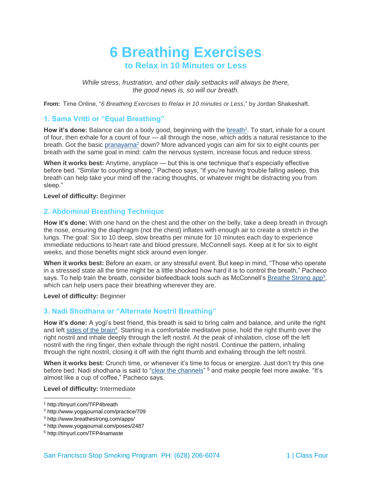# **6 Breathing Exercises to Relax in 10 Minutes or Less**

*While stress, frustration, and other daily setbacks will always be there, the good news is, so will our breath.*

**From:** Time Online, "*6 Breathing Exercises to Relax in 10 minutes or Less*," by Jordan Shakeshaft.

### **1. Sama Vritti or "Equal Breathing"**

How it's done: Balance can do a body good, beginning with the [breath](http://www.ncbi.nlm.nih.gov/pubmed/19735239)<sup>1</sup>. To start, inhale for a count of four, then exhale for a count of four — all through the nose, which adds a natural resistance to the breath. Got the basic [pranayama](http://www.yogajournal.com/practice/709)<sup>2</sup> down? More advanced yogis can aim for six to eight counts per breath with the same goal in mind: calm the nervous system, increase focus and reduce stress.

**When it works best:** Anytime, anyplace — but this is one technique that's especially effective before bed. "Similar to counting sheep," Pacheco says, "if you're having trouble falling asleep, this breath can help take your mind off the racing thoughts, or whatever might be distracting you from sleep."

**Level of difficulty:** Beginner

### **2. Abdominal Breathing Technique**

**How it's done:** With one hand on the chest and the other on the belly, take a deep breath in through the nose, ensuring the diaphragm (not the chest) inflates with enough air to create a stretch in the lungs. The goal: Six to 10 deep, slow breaths per minute for 10 minutes each day to experience immediate reductions to heart rate and blood pressure, McConnell says. Keep at it for six to eight weeks, and those benefits might stick around even longer.

**When it works best:** Before an exam, or any stressful event. But keep in mind, "Those who operate in a stressed state all the time might be a little shocked how hard it is to control the breath," Pacheco says. To help train the breath, consider biofeedback tools such as McConnell's **[Breathe Strong app](http://www.breathestrong.com/apps/)<sup>3</sup>**, which can help users pace their breathing wherever they are.

#### **Level of difficulty:** Beginner

### **3. Nadi Shodhana or "Alternate Nostril Breathing"**

**How it's done:** A yogi's best friend, this breath is said to bring calm and balance, and unite the right and left [sides of the brain](http://www.yogajournal.com/poses/2487)<sup>4</sup>. Starting in a comfortable meditative pose, hold the right thumb over the right nostril and inhale deeply through the left nostril. At the peak of inhalation, close off the left nostril with the ring finger, then exhale through the right nostril. Continue the pattern, inhaling through the right nostril, closing it off with the right thumb and exhaling through the left nostril.

**When it works best:** Crunch time, or whenever it's time to focus or energize. Just don't try this one before bed: Nadi shodhana is said to ["clear the channels"](http://www.chopra.com/namaste/meditationmoment) <sup>5</sup> and make people feel more awake. "It's almost like a cup of coffee," Pacheco says.

**Level of difficulty:** Intermediate

<sup>1</sup> <http://tinyurl.com/TFP4breath>

<sup>2</sup> <http://www.yogajournal.com/practice/709>

<sup>3</sup> <http://www.breathestrong.com/apps/>

<sup>4</sup> <http://www.yogajournal.com/poses/2487>

<sup>5</sup> <http://tinyurl.com/TFP4namaste>